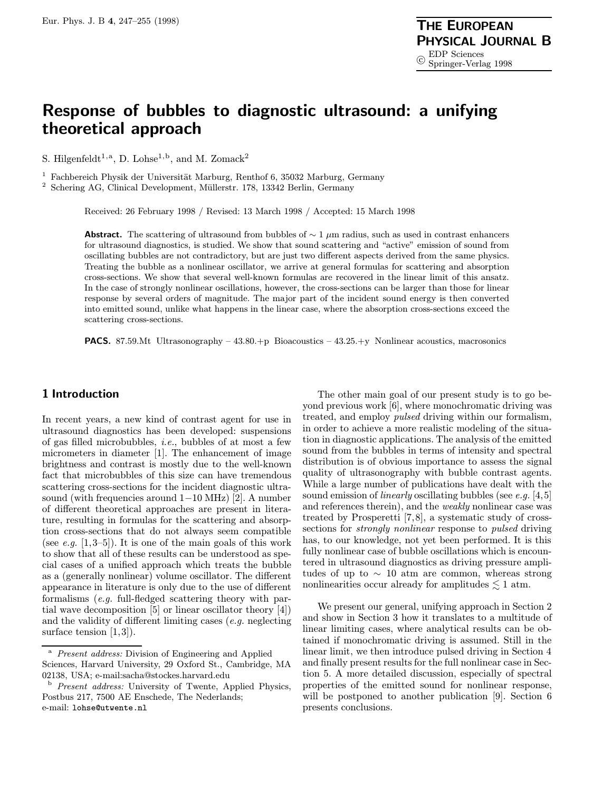# Response of bubbles to diagnostic ultrasound: a unifying theoretical approach

S. Hilgenfeldt<sup>1,a</sup>, D. Lohse<sup>1,b</sup>, and M. Zomack<sup>2</sup>

<sup>1</sup> Fachbereich Physik der Universität Marburg, Renthof 6, 35032 Marburg, Germany

<sup>2</sup> Schering AG, Clinical Development, Müllerstr. 178, 13342 Berlin, Germany

Received: 26 February 1998 / Revised: 13 March 1998 / Accepted: 15 March 1998

Abstract. The scattering of ultrasound from bubbles of  $\sim 1 \mu m$  radius, such as used in contrast enhancers for ultrasound diagnostics, is studied. We show that sound scattering and "active" emission of sound from oscillating bubbles are not contradictory, but are just two different aspects derived from the same physics. Treating the bubble as a nonlinear oscillator, we arrive at general formulas for scattering and absorption cross-sections. We show that several well-known formulas are recovered in the linear limit of this ansatz. In the case of strongly nonlinear oscillations, however, the cross-sections can be larger than those for linear response by several orders of magnitude. The major part of the incident sound energy is then converted into emitted sound, unlike what happens in the linear case, where the absorption cross-sections exceed the scattering cross-sections.

**PACS.** 87.59.Mt Ultrasonography – 43.80.+p Bioacoustics – 43.25.+y Nonlinear acoustics, macrosonics

# 1 Introduction

In recent years, a new kind of contrast agent for use in ultrasound diagnostics has been developed: suspensions of gas filled microbubbles, i.e., bubbles of at most a few micrometers in diameter [1]. The enhancement of image brightness and contrast is mostly due to the well-known fact that microbubbles of this size can have tremendous scattering cross-sections for the incident diagnostic ultrasound (with frequencies around 1−10 MHz) [2]. A number of different theoretical approaches are present in literature, resulting in formulas for the scattering and absorption cross-sections that do not always seem compatible (see e.g.  $[1,3-5]$ ). It is one of the main goals of this work to show that all of these results can be understood as special cases of a unified approach which treats the bubble as a (generally nonlinear) volume oscillator. The different appearance in literature is only due to the use of different formalisms (e.g. full-fledged scattering theory with partial wave decomposition [5] or linear oscillator theory [4]) and the validity of different limiting cases  $(e.g.,$  neglecting surface tension [1,3]).

The other main goal of our present study is to go beyond previous work [6], where monochromatic driving was treated, and employ pulsed driving within our formalism, in order to achieve a more realistic modeling of the situation in diagnostic applications. The analysis of the emitted sound from the bubbles in terms of intensity and spectral distribution is of obvious importance to assess the signal quality of ultrasonography with bubble contrast agents. While a large number of publications have dealt with the sound emission of *linearly* oscillating bubbles (see e.g.  $[4,5]$ ) and references therein), and the weakly nonlinear case was treated by Prosperetti [7,8], a systematic study of crosssections for strongly nonlinear response to pulsed driving has, to our knowledge, not yet been performed. It is this fully nonlinear case of bubble oscillations which is encountered in ultrasound diagnostics as driving pressure amplitudes of up to  $\sim$  10 atm are common, whereas strong nonlinearities occur already for amplitudes  $\lesssim 1$  atm.

We present our general, unifying approach in Section 2 and show in Section 3 how it translates to a multitude of linear limiting cases, where analytical results can be obtained if monochromatic driving is assumed. Still in the linear limit, we then introduce pulsed driving in Section 4 and finally present results for the full nonlinear case in Section 5. A more detailed discussion, especially of spectral properties of the emitted sound for nonlinear response, will be postponed to another publication [9]. Section 6 presents conclusions.

<sup>&</sup>lt;sup>a</sup> Present address: Division of Engineering and Applied Sciences, Harvard University, 29 Oxford St., Cambridge, MA 02138, USA; e-mail:sacha@stockes.harvard.edu

<sup>b</sup> Present address: University of Twente, Applied Physics, Postbus 217, 7500 AE Enschede, The Nederlands; e-mail: lohse@utwente.nl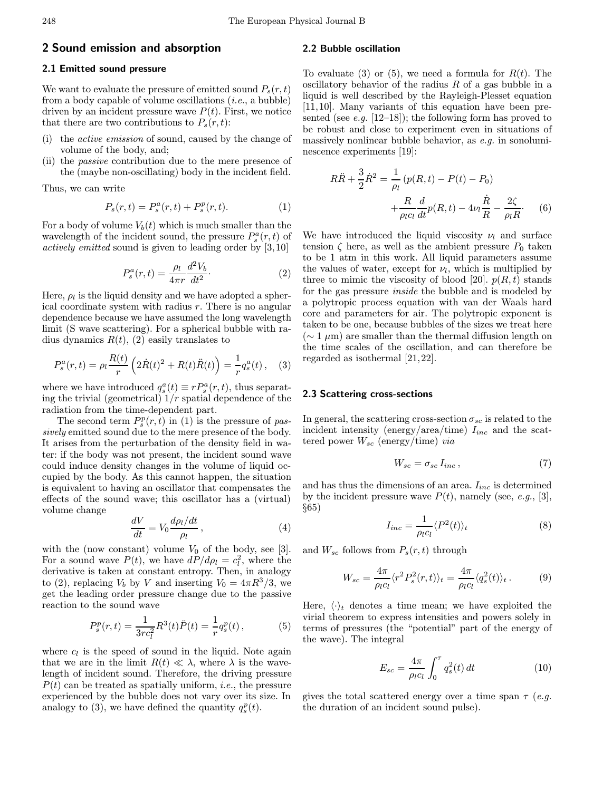## 2.1 Emitted sound pressure

We want to evaluate the pressure of emitted sound  $P_s(r,t)$ from a body capable of volume oscillations  $(i.e., a bubble)$ driven by an incident pressure wave  $P(t)$ . First, we notice that there are two contributions to  $P_s(r,t)$ :

- (i) the active emission of sound, caused by the change of volume of the body, and;
- (ii) the passive contribution due to the mere presence of the (maybe non-oscillating) body in the incident field.

Thus, we can write

$$
P_s(r,t) = P_s^a(r,t) + P_s^p(r,t).
$$
 (1)

For a body of volume  $V_b(t)$  which is much smaller than the wavelength of the incident sound, the pressure  $P_s^a(r,t)$  of actively emitted sound is given to leading order by [3,10]

$$
P_s^a(r,t) = \frac{\rho_l}{4\pi r} \frac{d^2 V_b}{dt^2}.
$$
\n<sup>(2)</sup>

Here,  $\rho_l$  is the liquid density and we have adopted a spherical coordinate system with radius  $r$ . There is no angular dependence because we have assumed the long wavelength limit (S wave scattering). For a spherical bubble with radius dynamics  $R(t)$ , (2) easily translates to

$$
P_s^a(r,t) = \rho_l \frac{R(t)}{r} \left( 2\dot{R}(t)^2 + R(t)\ddot{R}(t) \right) = \frac{1}{r} q_s^a(t) , \quad (3)
$$

where we have introduced  $q_s^a(t) \equiv r P_s^a(r, t)$ , thus separating the trivial (geometrical)  $1/r$  spatial dependence of the radiation from the time-dependent part.

The second term  $P_s^p(r,t)$  in (1) is the pressure of passively emitted sound due to the mere presence of the body. It arises from the perturbation of the density field in water: if the body was not present, the incident sound wave could induce density changes in the volume of liquid occupied by the body. As this cannot happen, the situation is equivalent to having an oscillator that compensates the effects of the sound wave; this oscillator has a (virtual) volume change

$$
\frac{dV}{dt} = V_0 \frac{d\rho_l/dt}{\rho_l},\qquad(4)
$$

with the (now constant) volume  $V_0$  of the body, see [3]. For a sound wave  $P(t)$ , we have  $dP/d\rho_l = c_l^2$ , where the derivative is taken at constant entropy. Then, in analogy to (2), replacing  $V_b$  by V and inserting  $V_0 = 4\pi R^3/3$ , we get the leading order pressure change due to the passive reaction to the sound wave

$$
P_s^p(r,t) = \frac{1}{3rc_l^2} R^3(t)\ddot{P}(t) = \frac{1}{r}q_s^p(t) ,\qquad (5)
$$

where  $c_l$  is the speed of sound in the liquid. Note again that we are in the limit  $R(t) \ll \lambda$ , where  $\lambda$  is the wavelength of incident sound. Therefore, the driving pressure  $P(t)$  can be treated as spatially uniform, *i.e.*, the pressure experienced by the bubble does not vary over its size. In analogy to (3), we have defined the quantity  $q_s^p(t)$ .

#### 2.2 Bubble oscillation

To evaluate (3) or (5), we need a formula for  $R(t)$ . The oscillatory behavior of the radius  $R$  of a gas bubble in a liquid is well described by the Rayleigh-Plesset equation [11,10]. Many variants of this equation have been presented (see e.g.  $[12-18]$ ); the following form has proved to be robust and close to experiment even in situations of massively nonlinear bubble behavior, as e.g. in sonoluminescence experiments [19]:

$$
R\ddot{R} + \frac{3}{2}\dot{R}^{2} = \frac{1}{\rho_{l}}(p(R, t) - P(t) - P_{0}) + \frac{R}{\rho_{l}c_{l}}\frac{d}{dt}p(R, t) - 4\nu_{l}\frac{\dot{R}}{R} - \frac{2\zeta}{\rho_{l}R}.
$$
 (6)

We have introduced the liquid viscosity  $\nu_l$  and surface tension  $\zeta$  here, as well as the ambient pressure  $P_0$  taken to be 1 atm in this work. All liquid parameters assume the values of water, except for  $\nu_l$ , which is multiplied by three to mimic the viscosity of blood [20].  $p(R, t)$  stands for the gas pressure inside the bubble and is modeled by a polytropic process equation with van der Waals hard core and parameters for air. The polytropic exponent is taken to be one, because bubbles of the sizes we treat here  $(∼ 1 μm)$  are smaller than the thermal diffusion length on the time scales of the oscillation, and can therefore be regarded as isothermal [21,22].

## 2.3 Scattering cross-sections

In general, the scattering cross-section  $\sigma_{sc}$  is related to the incident intensity (energy/area/time)  $I_{inc}$  and the scattered power  $W_{sc}$  (energy/time) via

$$
W_{sc} = \sigma_{sc} I_{inc} \,, \tag{7}
$$

and has thus the dimensions of an area.  $I_{inc}$  is determined by the incident pressure wave  $P(t)$ , namely (see, e.g., [3], §65)

$$
I_{inc} = \frac{1}{\rho_l c_l} \langle P^2(t) \rangle_t \tag{8}
$$

and  $W_{sc}$  follows from  $P_s(r, t)$  through

$$
W_{sc} = \frac{4\pi}{\rho_l c_l} \langle r^2 P_s^2(r, t) \rangle_t = \frac{4\pi}{\rho_l c_l} \langle q_s^2(t) \rangle_t. \tag{9}
$$

Here,  $\langle \cdot \rangle_t$  denotes a time mean; we have exploited the virial theorem to express intensities and powers solely in terms of pressures (the "potential" part of the energy of the wave). The integral

$$
E_{sc} = \frac{4\pi}{\rho_l c_l} \int_0^{\tau} q_s^2(t) dt
$$
 (10)

gives the total scattered energy over a time span  $\tau$  (e.g. the duration of an incident sound pulse).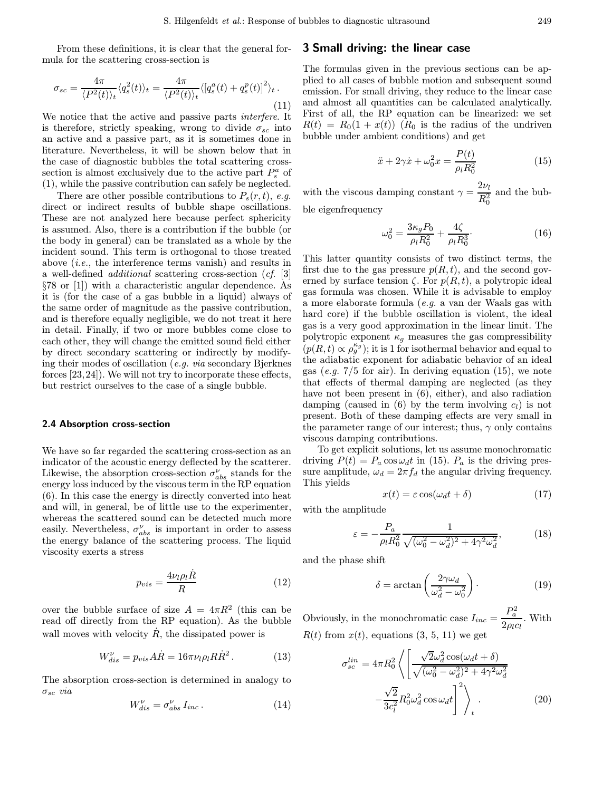From these definitions, it is clear that the general formula for the scattering cross-section is

$$
\sigma_{sc} = \frac{4\pi}{\langle P^2(t)\rangle_t} \langle q_s^2(t)\rangle_t = \frac{4\pi}{\langle P^2(t)\rangle_t} \langle [q_s^a(t) + q_s^p(t)]^2 \rangle_t \,. \tag{11}
$$

We notice that the active and passive parts interfere. It is therefore, strictly speaking, wrong to divide  $\sigma_{sc}$  into an active and a passive part, as it is sometimes done in literature. Nevertheless, it will be shown below that in the case of diagnostic bubbles the total scattering crosssection is almost exclusively due to the active part  $P_s^a$  of (1), while the passive contribution can safely be neglected.

There are other possible contributions to  $P_s(r,t)$ , e.g. direct or indirect results of bubble shape oscillations. These are not analyzed here because perfect sphericity is assumed. Also, there is a contribution if the bubble (or the body in general) can be translated as a whole by the incident sound. This term is orthogonal to those treated above (i.e., the interference terms vanish) and results in a well-defined additional scattering cross-section (cf. [3] §78 or [1]) with a characteristic angular dependence. As it is (for the case of a gas bubble in a liquid) always of the same order of magnitude as the passive contribution, and is therefore equally negligible, we do not treat it here in detail. Finally, if two or more bubbles come close to each other, they will change the emitted sound field either by direct secondary scattering or indirectly by modifying their modes of oscillation (e.g. via secondary Bjerknes forces [23,24]). We will not try to incorporate these effects, but restrict ourselves to the case of a single bubble.

#### 2.4 Absorption cross-section

We have so far regarded the scattering cross-section as an indicator of the acoustic energy deflected by the scatterer. Likewise, the absorption cross-section  $\sigma^\nu_{abs}$  stands for the energy loss induced by the viscous term in the RP equation (6). In this case the energy is directly converted into heat and will, in general, be of little use to the experimenter, whereas the scattered sound can be detected much more easily. Nevertheless,  $\sigma_{abs}^{\nu}$  is important in order to assess the energy balance of the scattering process. The liquid viscosity exerts a stress

$$
p_{vis} = \frac{4\nu_l \rho_l \dot{R}}{R} \tag{12}
$$

over the bubble surface of size  $A = 4\pi R^2$  (this can be read off directly from the RP equation). As the bubble wall moves with velocity  $\dot{R}$ , the dissipated power is

$$
W_{dis}^{\nu} = p_{vis} A \dot{R} = 16\pi \nu_l \rho_l R \dot{R}^2. \qquad (13)
$$

The absorption cross-section is determined in analogy to  $\sigma_{sc}$  via

$$
W_{dis}^{\nu} = \sigma_{abs}^{\nu} I_{inc} \,. \tag{14}
$$

## 3 Small driving: the linear case

The formulas given in the previous sections can be applied to all cases of bubble motion and subsequent sound emission. For small driving, they reduce to the linear case and almost all quantities can be calculated analytically. First of all, the RP equation can be linearized: we set  $R(t) = R_0(1 + x(t))$  ( $R_0$  is the radius of the undriven bubble under ambient conditions) and get

$$
\ddot{x} + 2\gamma \dot{x} + \omega_0^2 x = \frac{P(t)}{\rho_l R_0^2} \tag{15}
$$

with the viscous damping constant  $\gamma = \frac{2\nu_l}{R_0^2}$ and the bub-

ble eigenfrequency

$$
\omega_0^2 = \frac{3\kappa_g P_0}{\rho_l R_0^2} + \frac{4\zeta}{\rho_l R_0^3}.
$$
\n(16)

This latter quantity consists of two distinct terms, the first due to the gas pressure  $p(R, t)$ , and the second governed by surface tension  $\zeta$ . For  $p(R, t)$ , a polytropic ideal gas formula was chosen. While it is advisable to employ a more elaborate formula (e.g. a van der Waals gas with hard core) if the bubble oscillation is violent, the ideal gas is a very good approximation in the linear limit. The polytropic exponent  $\kappa_g$  measures the gas compressibility  $(p(R, t) \propto \rho_g^{\kappa_g})$ ; it is 1 for isothermal behavior and equal to the adiabatic exponent for adiabatic behavior of an ideal gas (e.g.  $7/5$  for air). In deriving equation (15), we note that effects of thermal damping are neglected (as they have not been present in (6), either), and also radiation damping (caused in (6) by the term involving  $c_l$ ) is not present. Both of these damping effects are very small in the parameter range of our interest; thus,  $\gamma$  only contains viscous damping contributions.

To get explicit solutions, let us assume monochromatic driving  $P(t) = P_a \cos \omega_d t$  in (15).  $P_a$  is the driving pressure amplitude,  $\omega_d = 2\pi f_d$  the angular driving frequency. This yields

$$
x(t) = \varepsilon \cos(\omega_d t + \delta) \tag{17}
$$

with the amplitude

$$
\varepsilon = -\frac{P_a}{\rho_l R_0^2} \frac{1}{\sqrt{(\omega_0^2 - \omega_d^2)^2 + 4\gamma^2 \omega_d^2}},\tag{18}
$$

and the phase shift

$$
\delta = \arctan\left(\frac{2\gamma\omega_d}{\omega_d^2 - \omega_0^2}\right). \tag{19}
$$

Obviously, in the monochromatic case  $I_{inc} = \frac{P_a^2}{2\pi}$  $rac{a}{2\rho_l c_l}$ . With  $R(t)$  from  $x(t)$ , equations (3, 5, 11) we get

$$
\sigma_{sc}^{lin} = 4\pi R_0^2 \left\langle \left[ \frac{\sqrt{2}\omega_d^2 \cos(\omega_d t + \delta)}{\sqrt{(\omega_0^2 - \omega_d^2)^2 + 4\gamma^2 \omega_d^2}} - \frac{\sqrt{2}}{3c_l^2} R_0^2 \omega_d^2 \cos \omega_d t \right]^2 \right\rangle_t.
$$
\n(20)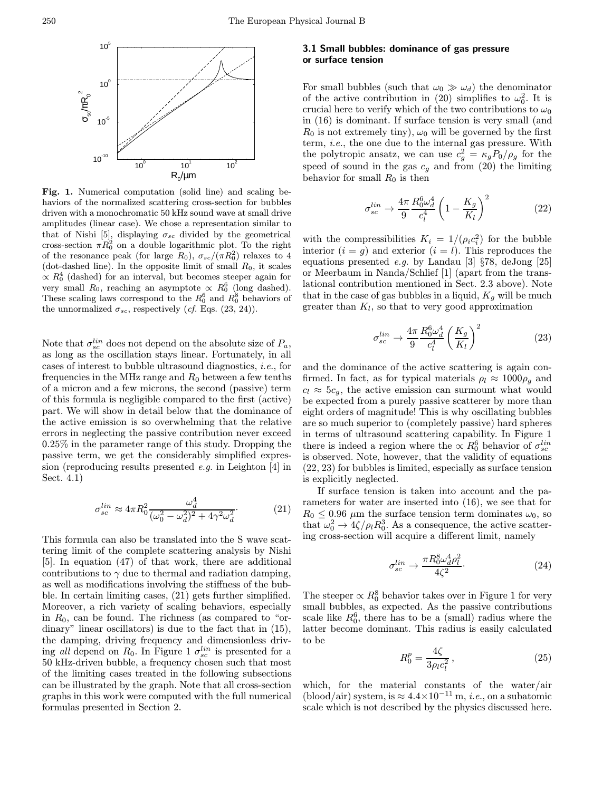

Fig. 1. Numerical computation (solid line) and scaling behaviors of the normalized scattering cross-section for bubbles driven with a monochromatic 50 kHz sound wave at small drive amplitudes (linear case). We chose a representation similar to that of Nishi [5], displaying  $\sigma_{sc}$  divided by the geometrical cross-section  $\pi R_0^2$  on a double logarithmic plot. To the right of the resonance peak (for large  $R_0$ ),  $\sigma_{sc}/(\pi R_0^2)$  relaxes to 4 (dot-dashed line). In the opposite limit of small  $R_0$ , it scales  $\propto R_0^4$  (dashed) for an interval, but becomes steeper again for very small  $R_0$ , reaching an asymptote  $\propto R_0^6$  (long dashed). These scaling laws correspond to the  $R_0^6$  and  $R_0^8$  behaviors of the unnormalized  $\sigma_{sc}$ , respectively (*cf.* Eqs. (23, 24)).

Note that  $\sigma_{sc}^{lin}$  does not depend on the absolute size of  $P_a$ , as long as the oscillation stays linear. Fortunately, in all cases of interest to bubble ultrasound diagnostics, i.e., for frequencies in the MHz range and  $R_0$  between a few tenths of a micron and a few microns, the second (passive) term of this formula is negligible compared to the first (active) part. We will show in detail below that the dominance of the active emission is so overwhelming that the relative errors in neglecting the passive contribution never exceed 0.25% in the parameter range of this study. Dropping the passive term, we get the considerably simplified expression (reproducing results presented e.g. in Leighton [4] in Sect. 4.1)

$$
\sigma_{sc}^{lin} \approx 4\pi R_0^2 \frac{\omega_d^4}{(\omega_0^2 - \omega_d^2)^2 + 4\gamma^2 \omega_d^2}.
$$
\n(21)

This formula can also be translated into the S wave scattering limit of the complete scattering analysis by Nishi [5]. In equation (47) of that work, there are additional contributions to  $\gamma$  due to thermal and radiation damping, as well as modifications involving the stiffness of the bubble. In certain limiting cases, (21) gets further simplified. Moreover, a rich variety of scaling behaviors, especially in  $R_0$ , can be found. The richness (as compared to "ordinary" linear oscillators) is due to the fact that in (15), the damping, driving frequency and dimensionless driving all depend on  $R_0$ . In Figure 1  $\sigma_{sc}^{lin}$  is presented for a 50 kHz-driven bubble, a frequency chosen such that most of the limiting cases treated in the following subsections can be illustrated by the graph. Note that all cross-section graphs in this work were computed with the full numerical formulas presented in Section 2.

## 3.1 Small bubbles: dominance of gas pressure or surface tension

For small bubbles (such that  $\omega_0 \gg \omega_d$ ) the denominator of the active contribution in (20) simplifies to  $\omega_0^2$ . It is crucial here to verify which of the two contributions to  $\omega_0$ in (16) is dominant. If surface tension is very small (and  $R_0$  is not extremely tiny),  $\omega_0$  will be governed by the first term, i.e., the one due to the internal gas pressure. With the polytropic ansatz, we can use  $c_g^2 = \kappa_g P_0 / \rho_g$  for the speed of sound in the gas  $c_g$  and from (20) the limiting behavior for small  $R_0$  is then

$$
\sigma_{sc}^{lin} \rightarrow \frac{4\pi}{9} \frac{R_0^6 \omega_d^4}{c_l^4} \left(1 - \frac{K_g}{K_l}\right)^2 \tag{22}
$$

with the compressibilities  $K_i = 1/(\rho_i c_i^2)$  for the bubble interior  $(i = g)$  and exterior  $(i = l)$ . This reproduces the equations presented e.g. by Landau [3] §78, deJong [25] or Meerbaum in Nanda/Schlief [1] (apart from the translational contribution mentioned in Sect. 2.3 above). Note that in the case of gas bubbles in a liquid,  $K_g$  will be much greater than  $K_l$ , so that to very good approximation

$$
\sigma_{sc}^{lin} \rightarrow \frac{4\pi}{9} \frac{R_0^6 \omega_d^4}{c_l^4} \left(\frac{K_g}{K_l}\right)^2 \tag{23}
$$

and the dominance of the active scattering is again confirmed. In fact, as for typical materials  $\rho_l \approx 1000 \rho_g$  and  $c_l \approx 5c_g$ , the active emission can surmount what would be expected from a purely passive scatterer by more than eight orders of magnitude! This is why oscillating bubbles are so much superior to (completely passive) hard spheres in terms of ultrasound scattering capability. In Figure 1 there is indeed a region where the  $\propto R_0^6$  behavior of  $\sigma_{sc}^{lin}$ is observed. Note, however, that the validity of equations (22, 23) for bubbles is limited, especially as surface tension is explicitly neglected.

If surface tension is taken into account and the parameters for water are inserted into (16), we see that for  $R_0 \leq 0.96$  µm the surface tension term dominates  $\omega_0$ , so that  $\omega_0^2 \rightarrow 4\zeta/\rho_l R_0^3$ . As a consequence, the active scattering cross-section will acquire a different limit, namely

$$
\sigma_{sc}^{lin} \rightarrow \frac{\pi R_0^8 \omega_d^4 \rho_l^2}{4\zeta^2}.
$$
\n(24)

The steeper  $\propto R_0^8$  behavior takes over in Figure 1 for very small bubbles, as expected. As the passive contributions scale like  $R_0^6$ , there has to be a (small) radius where the latter become dominant. This radius is easily calculated to be

$$
R_0^p = \frac{4\zeta}{3\rho_l c_l^2},\tag{25}
$$

which, for the material constants of the water/air (blood/air) system, is  $\approx 4.4 \times 10^{-11}$  m, *i.e.*, on a subatomic scale which is not described by the physics discussed here.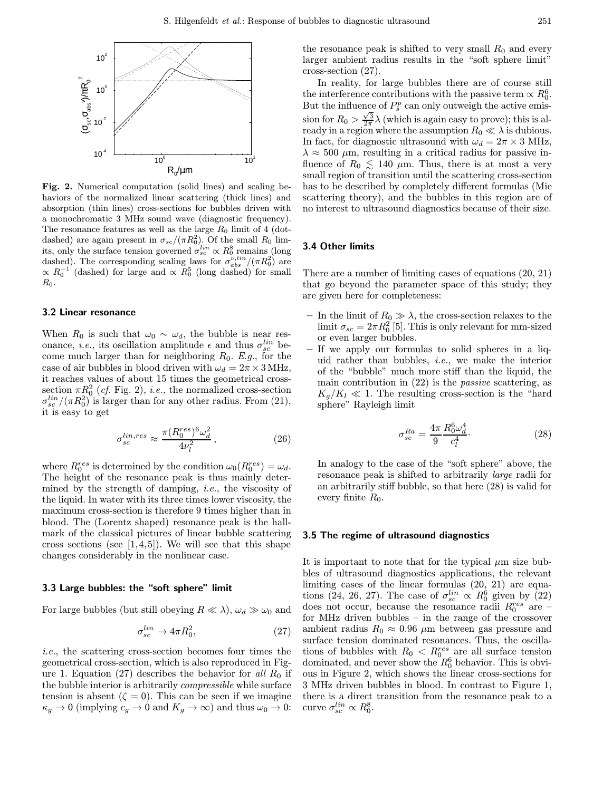

Fig. 2. Numerical computation (solid lines) and scaling behaviors of the normalized linear scattering (thick lines) and absorption (thin lines) cross-sections for bubbles driven with a monochromatic 3 MHz sound wave (diagnostic frequency). The resonance features as well as the large  $R_0$  limit of 4 (dotdashed) are again present in  $\sigma_{sc}/(\pi R_0^2)$ . Of the small  $R_0$  limits, only the surface tension governed  $\sigma_{sc}^{lin} \propto R_0^8$  remains (long dashed). The corresponding scaling laws for  $\sigma_{abs}^{\nu,lin}/(\pi R_0^2)$  are  $\propto R_0^{-1}$  (dashed) for large and  $\propto R_0^5$  (long dashed) for small  $R_0$ .

#### 3.2 Linear resonance

When  $R_0$  is such that  $\omega_0 \sim \omega_d$ , the bubble is near resonance, *i.e.*, its oscillation amplitude  $\epsilon$  and thus  $\sigma_{sc}^{lin}$  become much larger than for neighboring  $R_0$ . E.g., for the case of air bubbles in blood driven with  $\omega_d = 2\pi \times 3 \text{ MHz}$ , it reaches values of about 15 times the geometrical crosssection  $\pi R_0^2$  (*cf.* Fig. 2), *i.e.*, the normalized cross-section  $\sigma_{sc}^{lin}/(\pi R_0^2)$  is larger than for any other radius. From (21), it is easy to get

$$
\sigma_{sc}^{lin,res} \approx \frac{\pi (R_0^{res})^6 \omega_d^2}{4\nu_l^2},\tag{26}
$$

where  $R_0^{res}$  is determined by the condition  $\omega_0(R_0^{res}) = \omega_d$ . The height of the resonance peak is thus mainly determined by the strength of damping, i.e., the viscosity of the liquid. In water with its three times lower viscosity, the maximum cross-section is therefore 9 times higher than in blood. The (Lorentz shaped) resonance peak is the hallmark of the classical pictures of linear bubble scattering cross sections (see  $[1,4,5]$ ). We will see that this shape changes considerably in the nonlinear case.

#### 3.3 Large bubbles: the "soft sphere" limit

For large bubbles (but still obeying  $R \ll \lambda$ ),  $\omega_d \gg \omega_0$  and

$$
\sigma_{sc}^{lin} \to 4\pi R_0^2,\tag{27}
$$

i.e., the scattering cross-section becomes four times the geometrical cross-section, which is also reproduced in Figure 1. Equation (27) describes the behavior for all  $R_0$  if the bubble interior is arbitrarily compressible while surface tension is absent  $(\zeta = 0)$ . This can be seen if we imagine  $\kappa_g \to 0$  (implying  $c_g \to 0$  and  $K_g \to \infty$ ) and thus  $\omega_0 \to 0$ :

the resonance peak is shifted to very small  $R_0$  and every larger ambient radius results in the "soft sphere limit" cross-section (27).

In reality, for large bubbles there are of course still the interference contributions with the passive term  $\propto R_0^6$ . But the influence of  $P_s^p$  can only outweigh the active emis-But the initiative of  $\Gamma_s$  and only curve given the decision for  $R_0 > \frac{\sqrt{3}}{2\pi}\lambda$  (which is again easy to prove); this is already in a region where the assumption  $R_0 \ll \lambda$  is dubious. In fact, for diagnostic ultrasound with  $\omega_d = 2\pi \times 3$  MHz,  $\lambda \approx 500 \ \mu \text{m}$ , resulting in a critical radius for passive influence of  $R_0 \lesssim 140 \mu \text{m}$ . Thus, there is at most a very small region of transition until the scattering cross-section has to be described by completely different formulas (Mie scattering theory), and the bubbles in this region are of no interest to ultrasound diagnostics because of their size.

### 3.4 Other limits

There are a number of limiting cases of equations (20, 21) that go beyond the parameter space of this study; they are given here for completeness:

- In the limit of  $R_0 \gg \lambda$ , the cross-section relaxes to the limit  $\sigma_{sc} = 2\pi R_0^2$  [5]. This is only relevant for mm-sized or even larger bubbles.
- If we apply our formulas to solid spheres in a liquid rather than bubbles, i.e., we make the interior of the "bubble" much more stiff than the liquid, the main contribution in  $(22)$  is the *passive* scattering, as  $K_q/K_l \ll 1$ . The resulting cross-section is the "hard" sphere" Rayleigh limit

$$
\sigma_{sc}^{Ra} = \frac{4\pi}{9} \frac{R_0^6 \omega_d^4}{c_l^4}.
$$
\n(28)

In analogy to the case of the "soft sphere" above, the resonance peak is shifted to arbitrarily large radii for an arbitrarily stiff bubble, so that here (28) is valid for every finite  $R_0$ .

#### 3.5 The regime of ultrasound diagnostics

It is important to note that for the typical  $\mu$ m size bubbles of ultrasound diagnostics applications, the relevant limiting cases of the linear formulas (20, 21) are equations (24, 26, 27). The case of  $\sigma_{sc}^{lin} \propto R_0^6$  given by (22) does not occur, because the resonance radii  $R_0^{res}$  are  $$ for MHz driven bubbles – in the range of the crossover ambient radius  $R_0 \approx 0.96 \mu m$  between gas pressure and surface tension dominated resonances. Thus, the oscillations of bubbles with  $R_0 \nvert R_0^{\text{res}}$  are all surface tension dominated, and never show the  $R_0^6$  behavior. This is obvious in Figure 2, which shows the linear cross-sections for 3 MHz driven bubbles in blood. In contrast to Figure 1, there is a direct transition from the resonance peak to a curve  $\sigma_{sc}^{lin} \propto R_0^8$ .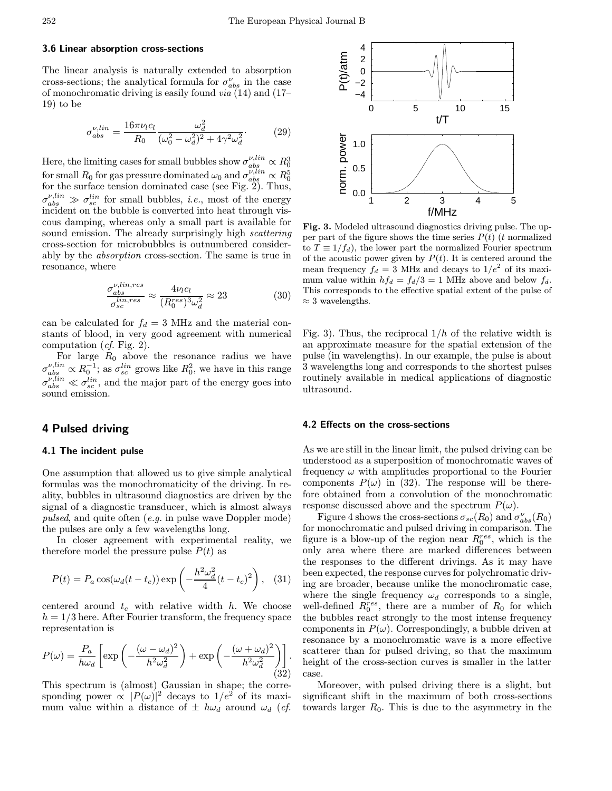#### 3.6 Linear absorption cross-sections

The linear analysis is naturally extended to absorption cross-sections; the analytical formula for  $\sigma_{abs}^{\nu}$  in the case of monochromatic driving is easily found via (14) and (17– 19) to be

$$
\sigma_{abs}^{\nu,lin} = \frac{16\pi\nu_l c_l}{R_0} \frac{\omega_d^2}{(\omega_0^2 - \omega_d^2)^2 + 4\gamma^2 \omega_d^2}.
$$
\n(29)

Here, the limiting cases for small bubbles show  $\sigma_{abs}^{\nu,lin} \propto R_0^3$  for small  $R_0$  for gas pressure dominated  $\omega_0$  and  $\sigma_{abs}^{\nu,lin} \propto R_0^5$  for the surface tension dominated case (see Fig. 2). Thus,  $\sigma_{abs}^{\nu,lin} \gg \sigma_{sc}^{lin}$  for small bubbles, *i.e.*, most of the energy incident on the bubble is converted into heat through viscous damping, whereas only a small part is available for sound emission. The already surprisingly high *scattering* cross-section for microbubbles is outnumbered considerably by the absorption cross-section. The same is true in resonance, where

$$
\frac{\sigma_{abs}^{\nu,lin,res}}{\sigma_{sc}^{lin,res}} \approx \frac{4\nu_l c_l}{(R_0^{res})^3 \omega_d^2} \approx 23
$$
\n(30)

can be calculated for  $f_d = 3$  MHz and the material constants of blood, in very good agreement with numerical computation  $(cf. Fig. 2)$ .

For large  $R_0$  above the resonance radius we have  $\sigma_{abs}^{\nu,lin} \propto R_0^{-1}$ ; as  $\sigma_{sc}^{lin}$  grows like  $R_0^2$ , we have in this range  $\sigma_{abs}^{\nu,lin} \ll \sigma_{sc}^{lin}$ , and the major part of the energy goes into sound emission.

# 4 Pulsed driving

## 4.1 The incident pulse

One assumption that allowed us to give simple analytical formulas was the monochromaticity of the driving. In reality, bubbles in ultrasound diagnostics are driven by the signal of a diagnostic transducer, which is almost always pulsed, and quite often (e.g. in pulse wave Doppler mode) the pulses are only a few wavelengths long.

In closer agreement with experimental reality, we therefore model the pressure pulse  $P(t)$  as

$$
P(t) = P_a \cos(\omega_d (t - t_c)) \exp\left(-\frac{h^2 \omega_d^2}{4} (t - t_c)^2\right), \quad (31)
$$

centered around  $t_c$  with relative width h. We choose  $h = 1/3$  here. After Fourier transform, the frequency space representation is

$$
P(\omega) = \frac{P_a}{h\omega_d} \left[ \exp\left( -\frac{(\omega - \omega_d)^2}{h^2 \omega_d^2} \right) + \exp\left( -\frac{(\omega + \omega_d)^2}{h^2 \omega_d^2} \right) \right].
$$
\n(32)

This spectrum is (almost) Gaussian in shape; the corresponding power  $\propto$   $|P(\omega)|^2$  decays to  $1/e^2$  of its maximum value within a distance of  $\pm h\omega_d$  around  $\omega_d$  (*cf.* 



Fig. 3. Modeled ultrasound diagnostics driving pulse. The upper part of the figure shows the time series  $P(t)$  (t normalized to  $T \equiv 1/f_d$ , the lower part the normalized Fourier spectrum of the acoustic power given by  $P(t)$ . It is centered around the mean frequency  $f_d = 3$  MHz and decays to  $1/e^2$  of its maximum value within  $hf_d = f_d/3 = 1$  MHz above and below  $f_d$ . This corresponds to the effective spatial extent of the pulse of  $\approx$  3 wavelengths.

Fig. 3). Thus, the reciprocal  $1/h$  of the relative width is an approximate measure for the spatial extension of the pulse (in wavelengths). In our example, the pulse is about 3 wavelengths long and corresponds to the shortest pulses routinely available in medical applications of diagnostic ultrasound.

#### 4.2 Effects on the cross-sections

As we are still in the linear limit, the pulsed driving can be understood as a superposition of monochromatic waves of frequency  $\omega$  with amplitudes proportional to the Fourier components  $P(\omega)$  in (32). The response will be therefore obtained from a convolution of the monochromatic response discussed above and the spectrum  $P(\omega)$ .

Figure 4 shows the cross-sections  $\sigma_{sc}(R_0)$  and  $\sigma_{abs}^{\nu}(R_0)$ for monochromatic and pulsed driving in comparison. The figure is a blow-up of the region near  $R_0^{res}$ , which is the only area where there are marked differences between the responses to the different drivings. As it may have been expected, the response curves for polychromatic driving are broader, because unlike the monochromatic case, where the single frequency  $\omega_d$  corresponds to a single, well-defined  $R_0^{res}$ , there are a number of  $R_0$  for which the bubbles react strongly to the most intense frequency components in  $P(\omega)$ . Correspondingly, a bubble driven at resonance by a monochromatic wave is a more effective scatterer than for pulsed driving, so that the maximum height of the cross-section curves is smaller in the latter case.

Moreover, with pulsed driving there is a slight, but significant shift in the maximum of both cross-sections towards larger  $R_0$ . This is due to the asymmetry in the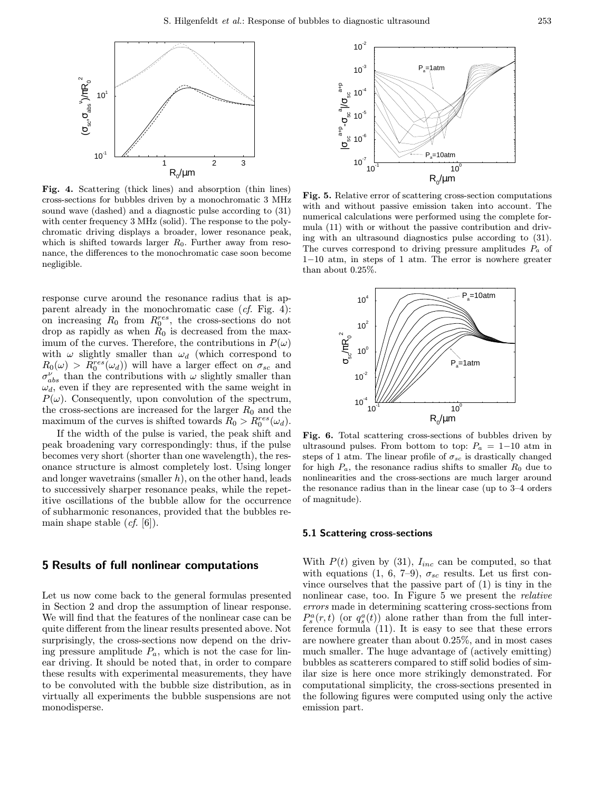

Fig. 4. Scattering (thick lines) and absorption (thin lines) cross-sections for bubbles driven by a monochromatic 3 MHz sound wave (dashed) and a diagnostic pulse according to (31) with center frequency 3 MHz (solid). The response to the polychromatic driving displays a broader, lower resonance peak, which is shifted towards larger  $R_0$ . Further away from resonance, the differences to the monochromatic case soon become negligible.

response curve around the resonance radius that is apparent already in the monochromatic case  $(cf. Fig. 4)$ : on increasing  $R_0$  from  $R_0^{res}$ , the cross-sections do not drop as rapidly as when  $R_0$  is decreased from the maximum of the curves. Therefore, the contributions in  $P(\omega)$ with  $\omega$  slightly smaller than  $\omega_d$  (which correspond to  $R_0(\omega) > R_0^{res}(\omega_d)$  will have a larger effect on  $\sigma_{sc}$  and  $\sigma_{abs}^{\nu}$  than the contributions with  $\omega$  slightly smaller than  $\omega_d$ , even if they are represented with the same weight in  $P(\omega)$ . Consequently, upon convolution of the spectrum, the cross-sections are increased for the larger  $R_0$  and the maximum of the curves is shifted towards  $R_0 > R_0^{res}(\omega_d)$ .

If the width of the pulse is varied, the peak shift and peak broadening vary correspondingly: thus, if the pulse becomes very short (shorter than one wavelength), the resonance structure is almost completely lost. Using longer and longer wavetrains (smaller  $h$ ), on the other hand, leads to successively sharper resonance peaks, while the repetitive oscillations of the bubble allow for the occurrence of subharmonic resonances, provided that the bubbles remain shape stable  $(cf. [6])$ .

# 5 Results of full nonlinear computations

Let us now come back to the general formulas presented in Section 2 and drop the assumption of linear response. We will find that the features of the nonlinear case can be quite different from the linear results presented above. Not surprisingly, the cross-sections now depend on the driving pressure amplitude  $P_a$ , which is not the case for linear driving. It should be noted that, in order to compare these results with experimental measurements, they have to be convoluted with the bubble size distribution, as in virtually all experiments the bubble suspensions are not monodisperse.



Fig. 5. Relative error of scattering cross-section computations with and without passive emission taken into account. The numerical calculations were performed using the complete formula (11) with or without the passive contribution and driving with an ultrasound diagnostics pulse according to (31). The curves correspond to driving pressure amplitudes  $P_a$  of 1−10 atm, in steps of 1 atm. The error is nowhere greater than about 0.25%.



Fig. 6. Total scattering cross-sections of bubbles driven by ultrasound pulses. From bottom to top:  $P_a = 1-10$  atm in steps of 1 atm. The linear profile of  $\sigma_{sc}$  is drastically changed for high  $P_a$ , the resonance radius shifts to smaller  $R_0$  due to nonlinearities and the cross-sections are much larger around the resonance radius than in the linear case (up to 3–4 orders of magnitude).

#### 5.1 Scattering cross-sections

With  $P(t)$  given by (31),  $I_{inc}$  can be computed, so that with equations (1, 6, 7–9),  $\sigma_{sc}$  results. Let us first convince ourselves that the passive part of (1) is tiny in the nonlinear case, too. In Figure 5 we present the relative errors made in determining scattering cross-sections from  $P_s^a(r,t)$  (or  $q_s^a(t)$ ) alone rather than from the full interference formula (11). It is easy to see that these errors are nowhere greater than about 0.25%, and in most cases much smaller. The huge advantage of (actively emitting) bubbles as scatterers compared to stiff solid bodies of similar size is here once more strikingly demonstrated. For computational simplicity, the cross-sections presented in the following figures were computed using only the active emission part.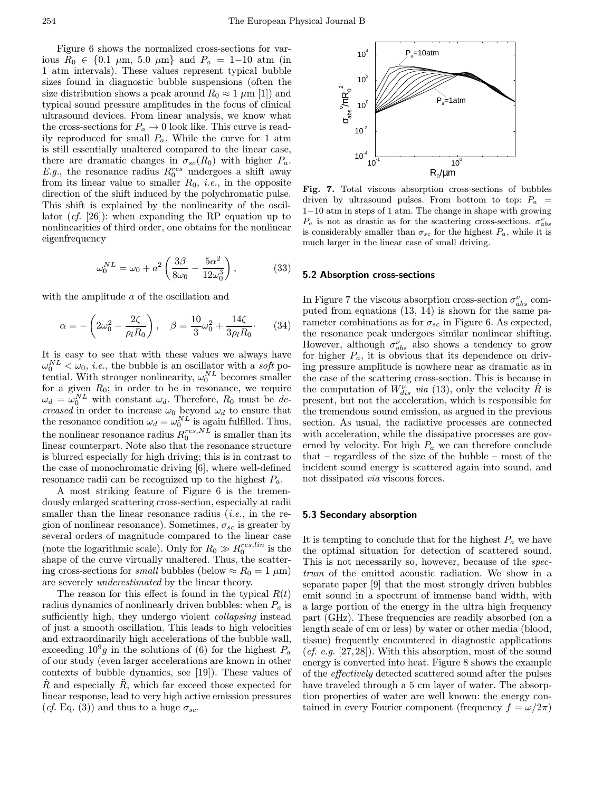Figure 6 shows the normalized cross-sections for various  $R_0$  ∈ {0.1 μm, 5.0 μm} and  $P_a$  = 1−10 atm (in 1 atm intervals). These values represent typical bubble sizes found in diagnostic bubble suspensions (often the size distribution shows a peak around  $R_0 \approx 1 \mu m$  [1]) and typical sound pressure amplitudes in the focus of clinical ultrasound devices. From linear analysis, we know what the cross-sections for  $P_a \to 0$  look like. This curve is readily reproduced for small  $P_a$ . While the curve for 1 atm is still essentially unaltered compared to the linear case, there are dramatic changes in  $\sigma_{sc}(R_0)$  with higher  $P_a$ . E.g., the resonance radius  $R_0^{res}$  undergoes a shift away from its linear value to smaller  $R_0$ , *i.e.*, in the opposite direction of the shift induced by the polychromatic pulse. This shift is explained by the nonlinearity of the oscillator (cf. [26]): when expanding the RP equation up to nonlinearities of third order, one obtains for the nonlinear eigenfrequency

$$
\omega_0^{NL} = \omega_0 + a^2 \left( \frac{3\beta}{8\omega_0} - \frac{5\alpha^2}{12\omega_0^3} \right),\tag{33}
$$

with the amplitude a of the oscillation and

$$
\alpha = -\left(2\omega_0^2 - \frac{2\zeta}{\rho_l R_0}\right), \quad \beta = \frac{10}{3}\omega_0^2 + \frac{14\zeta}{3\rho_l R_0}.\tag{34}
$$

It is easy to see that with these values we always have  $\omega_0^{NL} < \omega_0$ , *i.e.*, the bubble is an oscillator with a *soft* potential. With stronger nonlinearity,  $\omega_0^{NL}$  becomes smaller for a given  $R_0$ ; in order to be in resonance, we require  $\omega_d = \omega_0^{NL}$  with constant  $\omega_d$ . Therefore,  $R_0$  must be decreased in order to increase  $\omega_0$  beyond  $\omega_d$  to ensure that the resonance condition  $\omega_d = \omega_0^{NL}$  is again fulfilled. Thus, the nonlinear resonance radius  $R_0^{res,NL}$  is smaller than its linear counterpart. Note also that the resonance structure is blurred especially for high driving; this is in contrast to the case of monochromatic driving [6], where well-defined resonance radii can be recognized up to the highest  $P_a$ .

A most striking feature of Figure 6 is the tremendously enlarged scattering cross-section, especially at radii smaller than the linear resonance radius  $(i.e.,$  in the region of nonlinear resonance). Sometimes,  $\sigma_{sc}$  is greater by several orders of magnitude compared to the linear case (note the logarithmic scale). Only for  $R_0 \gg R_0^{res,lin}$  is the shape of the curve virtually unaltered. Thus, the scattering cross-sections for *small* bubbles (below  $\approx R_0 = 1 \mu m$ ) are severely underestimated by the linear theory.

The reason for this effect is found in the typical  $R(t)$ radius dynamics of nonlinearly driven bubbles: when  $P_a$  is sufficiently high, they undergo violent *collapsing* instead of just a smooth oscillation. This leads to high velocities and extraordinarily high accelerations of the bubble wall, exceeding  $10^9g$  in the solutions of (6) for the highest  $P_a$ of our study (even larger accelerations are known in other contexts of bubble dynamics, see [19]). These values of  $R$  and especially  $R$ , which far exceed those expected for linear response, lead to very high active emission pressures (*cf.* Eq. (3)) and thus to a huge  $\sigma_{sc}$ .



Fig. 7. Total viscous absorption cross-sections of bubbles driven by ultrasound pulses. From bottom to top:  $P_a$  = 1−10 atm in steps of 1 atm. The change in shape with growing  $P_a$  is not as drastic as for the scattering cross-sections.  $\sigma_{abs}^{\nu}$ is considerably smaller than  $\sigma_{sc}$  for the highest  $P_a$ , while it is much larger in the linear case of small driving.

### 5.2 Absorption cross-sections

In Figure 7 the viscous absorption cross-section  $\sigma_{abs}^{\nu}$  computed from equations (13, 14) is shown for the same parameter combinations as for  $\sigma_{sc}$  in Figure 6. As expected, the resonance peak undergoes similar nonlinear shifting. However, although  $\sigma_{abs}^{\nu}$  also shows a tendency to grow for higher  $P_a$ , it is obvious that its dependence on driving pressure amplitude is nowhere near as dramatic as in the case of the scattering cross-section. This is because in the computation of  $W_{dis}^{\nu}$  via (13), only the velocity  $\dot{R}$  is present, but not the acceleration, which is responsible for the tremendous sound emission, as argued in the previous section. As usual, the radiative processes are connected with acceleration, while the dissipative processes are governed by velocity. For high  $P_a$  we can therefore conclude that – regardless of the size of the bubble – most of the incident sound energy is scattered again into sound, and not dissipated via viscous forces.

#### 5.3 Secondary absorption

It is tempting to conclude that for the highest  $P_a$  we have the optimal situation for detection of scattered sound. This is not necessarily so, however, because of the spectrum of the emitted acoustic radiation. We show in a separate paper [9] that the most strongly driven bubbles emit sound in a spectrum of immense band width, with a large portion of the energy in the ultra high frequency part (GHz). These frequencies are readily absorbed (on a length scale of cm or less) by water or other media (blood, tissue) frequently encountered in diagnostic applications (*cf. e.g.* [27,28]). With this absorption, most of the sound energy is converted into heat. Figure 8 shows the example of the effectively detected scattered sound after the pulses have traveled through a 5 cm layer of water. The absorption properties of water are well known: the energy contained in every Fourier component (frequency  $f = \omega/2\pi$ )